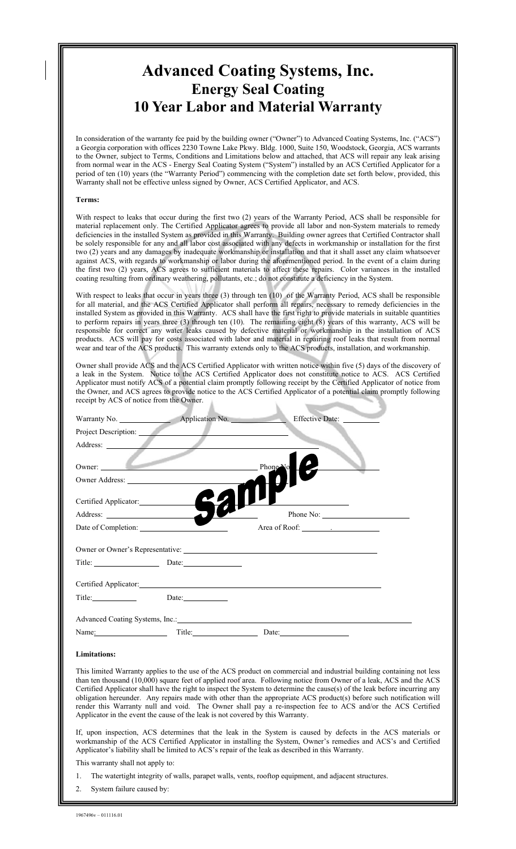# **Advanced Coating Systems, Inc. Energy Seal Coating 10 Year Labor and Material Warranty**

In consideration of the warranty fee paid by the building owner ("Owner") to Advanced Coating Systems, Inc. ("ACS") a Georgia corporation with offices 2230 Towne Lake Pkwy. Bldg. 1000, Suite 150, Woodstock, Georgia, ACS warrants to the Owner, subject to Terms, Conditions and Limitations below and attached, that ACS will repair any leak arising from normal wear in the ACS - Energy Seal Coating System ("System") installed by an ACS Certified Applicator for a period of ten (10) years (the "Warranty Period") commencing with the completion date set forth below, provided, this Warranty shall not be effective unless signed by Owner, ACS Certified Applicator, and ACS.

#### **Terms:**

With respect to leaks that occur during the first two (2) years of the Warranty Period, ACS shall be responsible for material replacement only. The Certified Applicator agrees to provide all labor and non-System materials to remedy deficiencies in the installed System as provided in this Warranty. Building owner agrees that Certified Contractor shall be solely responsible for any and all labor cost associated with any defects in workmanship or installation for the first two (2) years and any damages by inadequate workmanship or installation and that it shall asset any claim whatsoever against ACS, with regards to workmanship or labor during the aforementioned period. In the event of a claim during the first two (2) years, ACS agrees to sufficient materials to affect these repairs. Color variances in the installed coating resulting from ordinary weathering, pollutants, etc.; do not constitute a deficiency in the System.

With respect to leaks that occur in years three (3) through ten (10) of the Warranty Period, ACS shall be responsible for all material, and the ACS Certified Applicator shall perform all repairs, necessary to remedy deficiencies in the installed System as provided in this Warranty. ACS shall have the first right to provide materials in suitable quantities to perform repairs in years three (3) through ten (10). The remaining eight (8) years of this warranty, ACS will be responsible for correct any water leaks caused by defective material or workmanship in the installation of ACS products. ACS will pay for costs associated with labor and material in repairing roof leaks that result from normal wear and tear of the ACS products. This warranty extends only to the ACS products, installation, and workmanship.

Owner shall provide ACS and the ACS Certified Applicator with written notice within five (5) days of the discovery of a leak in the System. Notice to the ACS Certified Applicator does not constitute notice to ACS. ACS Certified Applicator must notify ACS of a potential claim promptly following receipt by the Certified Applicator of notice from the Owner, and ACS agrees to provide notice to the ACS Certified Applicator of a potential claim promptly following receipt by ACS of notice from the Owner.

| Project Description:   |                                                                                                    |  |
|------------------------|----------------------------------------------------------------------------------------------------|--|
|                        |                                                                                                    |  |
| Owner: $\qquad \qquad$ | $\Box$ Phone No<br>the contract of the contract of the contract of the contract of the contract of |  |
| Owner Address:         |                                                                                                    |  |
| Certified Applicator:  |                                                                                                    |  |
|                        |                                                                                                    |  |
| Date of Completion:    |                                                                                                    |  |
|                        |                                                                                                    |  |
| Title: Date: Date:     |                                                                                                    |  |
|                        |                                                                                                    |  |
|                        | Date: $\frac{1}{\sqrt{1-\frac{1}{2}}\cdot\frac{1}{\sqrt{1-\frac{1}{2}}}}$                          |  |
|                        |                                                                                                    |  |
| Name:                  |                                                                                                    |  |

#### **Limitations:**

This limited Warranty applies to the use of the ACS product on commercial and industrial building containing not less than ten thousand (10,000) square feet of applied roof area. Following notice from Owner of a leak, ACS and the ACS Certified Applicator shall have the right to inspect the System to determine the cause(s) of the leak before incurring any obligation hereunder. Any repairs made with other than the appropriate ACS product(s) before such notification will render this Warranty null and void. The Owner shall pay a re-inspection fee to ACS and/or the ACS Certified Applicator in the event the cause of the leak is not covered by this Warranty.

If, upon inspection, ACS determines that the leak in the System is caused by defects in the ACS materials or workmanship of the ACS Certified Applicator in installing the System, Owner's remedies and ACS's and Certified Applicator's liability shall be limited to ACS's repair of the leak as described in this Warranty.

This warranty shall not apply to:

1. The watertight integrity of walls, parapet walls, vents, rooftop equipment, and adjacent structures.

2. System failure caused by: